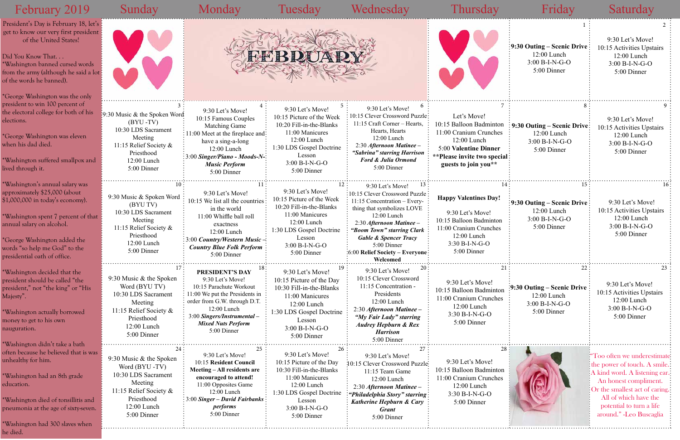|                                     | 1<br>9:30 Outing – Scenic Drive<br>12:00 Lunch<br>$3:00 B-I-N-G-O$<br>5:00 Dinner  | 2<br>9:30 Let's Move!<br>10:15 Activities Upstairs<br>12:00 Lunch<br>3:00 B-I-N-G-O<br>5:00 Dinner                                                                                                                                     |
|-------------------------------------|------------------------------------------------------------------------------------|----------------------------------------------------------------------------------------------------------------------------------------------------------------------------------------------------------------------------------------|
| 7<br>ton<br>ess<br>er<br>ecial<br>k | 8<br>9:30 Outing – Scenic Drive<br>12:00 Lunch<br>3:00 B-I-N-G-O<br>5:00 Dinner    | 9<br>9:30 Let's Move!<br>10:15 Activities Upstairs<br>12:00 Lunch<br>3:00 B-I-N-G-O<br>5:00 Dinner                                                                                                                                     |
| 14<br>y!<br>on<br>es                | 15<br>9:30 Outing – Scenic Drive<br>12:00 Lunch<br>3:00 B-I-N-G-O<br>5:00 Dinner   | 16<br>9:30 Let's Move!<br>10:15 Activities Upstairs<br>12:00 Lunch<br>3:00 B-I-N-G-O<br>5:00 Dinner                                                                                                                                    |
| 21<br>ıton<br>hes                   | 22<br>9:30 Outing – Scenic Drive<br>$12:00$ Lunch<br>3:00 B-I-N-G-O<br>5:00 Dinner | 23<br>9:30 Let's Move!<br>10:15 Activities Upstairs<br>12:00 Lunch<br>3:00 B-I-N-G-O<br>5:00 Dinner                                                                                                                                    |
| 28<br>ıton<br>hes                   |                                                                                    | Too often we underestimate<br>the power of touch. A smile.<br>A kind word. A listening ear.<br>An honest compliment.<br>Or the smallest act of caring.<br>All of which have the<br>potential to turn a life<br>around." -Leo Buscaglia |

| February 2019                                                                                                                                                                                                                                                             | Sunday                                                                                                                                                 | Monday                                                                                                                                                                                                                                                     | Tuesday                                                                                                                                                                              | Wednesday                                                                                                                                                                                                                                                                                     | Fhursday                                                                                                                                                           | Friday                                                                                       | Saturday                                                                                                                                                                                                                             |
|---------------------------------------------------------------------------------------------------------------------------------------------------------------------------------------------------------------------------------------------------------------------------|--------------------------------------------------------------------------------------------------------------------------------------------------------|------------------------------------------------------------------------------------------------------------------------------------------------------------------------------------------------------------------------------------------------------------|--------------------------------------------------------------------------------------------------------------------------------------------------------------------------------------|-----------------------------------------------------------------------------------------------------------------------------------------------------------------------------------------------------------------------------------------------------------------------------------------------|--------------------------------------------------------------------------------------------------------------------------------------------------------------------|----------------------------------------------------------------------------------------------|--------------------------------------------------------------------------------------------------------------------------------------------------------------------------------------------------------------------------------------|
| President's Day is February 18, let's :<br>get to know our very first president<br>of the United States!<br>Did You Know That<br>*Washington banned cursed words<br>from the army (although he said a lot:<br>of the words he banned).                                    |                                                                                                                                                        |                                                                                                                                                                                                                                                            | <b>FEBRUAP</b>                                                                                                                                                                       |                                                                                                                                                                                                                                                                                               |                                                                                                                                                                    | $\frac{1}{2}9:30$ Outing – Scenic Drive<br>$12:00$ Lunch<br>$3:00 B-I-N-G-O$<br>5:00 Dinner  | 9:30 Let's Move!<br>10:15 Activities Upstairs<br>$12:00$ Lunch<br>3:00 B-I-N-G-O<br>5:00 Dinner                                                                                                                                      |
| *George Washington was the only<br>president to win 100 percent of<br>the electoral college for both of his<br>elections.<br>*George Washington was eleven<br>when his dad died.<br>*Washington suffered smallpox and<br>lived through it.                                | [9:30 Music & the Spoken Word]<br>$(BYU - TV)$<br>10:30 LDS Sacrament<br>Meeting<br>11:15 Relief Society &<br>Priesthood<br>12:00 Lunch<br>5:00 Dinner | 9:30 Let's Move!<br>10:15 Famous Couples<br><b>Matching Game</b><br>$\frac{1}{2}$ :11:00 Meet at the fireplace and:<br>have a sing-a-long<br>12:00 Lunch<br>$\frac{1}{2}3:00$ Singer/Piano - Moods-N- $\frac{1}{2}$<br><b>Music Perform</b><br>5:00 Dinner | 9:30 Let's Move!<br>10:15 Picture of the Week<br>10:20 Fill-in-the-Blanks<br>11:00 Manicures<br>12:00 Lunch<br>1:30 LDS Gospel Doctrine<br>Lesson<br>$3:00 B-I-N-G-O$<br>5:00 Dinner | 9:30 Let's Move!<br>10:15 Clever Crossword Puzzle:<br>11:15 Craft Corner - Hearts,<br>Hearts, Hearts<br>12:00 Lunch<br>2:30 Afternoon Matinee -<br>"Sabrina" starring Harrison<br><b>Ford &amp; Julia Ormond</b><br>5:00 Dinner                                                               | Let's Move!<br>10:15 Balloon Badminton<br>11:00 Cranium Crunches<br>$12:00$ Lunch<br>5:00 Valentine Dinner<br>**Please invite two special:<br>guests to join you** | $\therefore$ 9:30 Outing – Scenic Drive:<br>12:00 Lunch<br>3:00 B-I-N-G-O<br>5:00 Dinner     | 9:30 Let's Move!<br>10:15 Activities Upstairs<br>12:00 Lunch<br>$3:00 B-I-N-G-O$<br>5:00 Dinner                                                                                                                                      |
| *Washington's annual salary was<br>approximately \$25,000 (about<br>\$1,000,000 in today's economy).<br>*Washington spent 7 percent of that<br>annual salary on alcohol.<br>*George Washington added the<br>words "so help me God" to the<br>presidential oath of office. | 9:30 Music & Spoken Word<br>(BYU TV)<br>10:30 LDS Sacrament<br>Meeting<br>11:15 Relief Society &<br>Priesthood<br>12:00 Lunch<br>5:00 Dinner           | 9:30 Let's Move!<br>10:15 We list all the countries<br>in the world<br>11:00 Whiffle ball roll<br>exactness<br>12:00 Lunch<br>$\approx 3.00$ Country/Western Music -<br><b>Country Blue Folk Perform:</b><br>5:00 Dinner                                   | 9:30 Let's Move!<br>10:15 Picture of the Week<br>10:20 Fill-in-the-Blanks<br>11:00 Manicures<br>12:00 Lunch<br>1:30 LDS Gospel Doctrine<br>Lesson<br>3:00 B-I-N-G-O<br>5:00 Dinner   | 9:30 Let's Move!<br>10:15 Clever Crossword Puzzle:<br>$11:15$ Concentration – Every-<br>thing that symbolizes LOVE<br>12:00 Lunch<br>2:30 Afternoon Matinee -<br>"Boom Town" starring Clark<br><b>Gable &amp; Spencer Tracy</b><br>5:00 Dinner<br>:6:00 Relief Society - Everyone<br>Welcomed | <b>Happy Valentines Day!</b><br>9:30 Let's Move!<br>10:15 Balloon Badminton<br>11:00 Cranium Crunches<br>12:00 Lunch<br>3:30 B-I-N-G-O<br>5:00 Dinner              | $\frac{1}{2}$ 9:30 Outing – Scenic Drive<br>12:00 Lunch<br>$3:00 B-I-N-G-O$<br>5:00 Dinner   | 9:30 Let's Move!<br>10:15 Activities Upstairs<br>12:00 Lunch<br>$3:00 B-I-N-G-O$<br>5:00 Dinner                                                                                                                                      |
| *Washington decided that the<br>president should be called "the<br>president," not "the king" or "His<br>Majesty".<br>*Washington actually borrowed<br>money to get to his own<br>nauguration.<br>*Washington didn't take a bath                                          | 9:30 Music & the Spoken<br>Word (BYU TV)<br>10:30 LDS Sacrament<br>Meeting<br>11:15 Relief Society &<br>Priesthood<br>12:00 Lunch<br>5:00 Dinner       | PRESIDENT'S DAY<br>9:30 Let's Move!<br>10:15 Parachute Workout<br>11:00 We put the Presidents in<br>order from G.W. through D.T.<br>$12:00$ Lunch<br>3:00 Singers/Instrumental -<br><b>Mixed Nuts Perform</b><br>5:00 Dinner                               | 9:30 Let's Move!<br>10:15 Picture of the Day<br>10:30 Fill-in-the-Blanks<br>11:00 Manicures<br>12:00 Lunch<br>1:30 LDS Gospel Doctrine<br>Lesson<br>$3:00 B-I-N-G-O$<br>5:00 Dinner  | 20:<br>9:30 Let's Move!<br>10:15 Clever Crossword<br>11:15 Concentration -<br>Presidents<br>12:00 Lunch<br>2:30 Afternoon Matinee -<br>"My Fair Lady" starring<br><b>Audrey Hepburn &amp; Rex</b><br><b>Harrison</b><br>5:00 Dinner                                                           | 9:30 Let's Move!<br>10:15 Balloon Badminton<br>11:00 Cranium Crunches<br>12:00 Lunch<br>3:30 B-I-N-G-O<br>5:00 Dinner                                              | $\frac{1}{2}$ 9:30 Outing – Scenic Drive<br>$12:00$ Lunch<br>$3:00 B-I-N-G-O$<br>5:00 Dinner | 9:30 Let's Move!<br>10:15 Activities Upstairs<br>12:00 Lunch<br>3:00 B-I-N-G-O<br>5:00 Dinner                                                                                                                                        |
| often because he believed that is was<br>unhealthy for him.<br>*Washington had an 8th grade<br>education.<br>*Washington died of tonsillitis and<br>pneumonia at the age of sixty-seven.<br>*Washington had 300 slaves when<br>he died.                                   | 9:30 Music & the Spoken<br>Word (BYU-TV)<br>10:30 LDS Sacrament<br>Meeting<br>11:15 Relief Society &<br>Priesthood<br>12:00 Lunch<br>5:00 Dinner       | 9:30 Let's Move!<br>10:15 Resident Council<br>Meeting – All residents are<br>encouraged to attend!<br>11:00 Opposites Game<br>12:00 Lunch<br>$\frac{1}{2}$ 3:00 Singer – David Fairbanks<br><i>performs</i><br>5:00 Dinner                                 | 9:30 Let's Move!<br>10:15 Picture of the Day<br>10:30 Fill-in-the-Blanks<br>11:00 Manicures<br>12:00 Lunch<br>1:30 LDS Gospel Doctrine<br>Lesson<br>3:00 B-I-N-G-O<br>5:00 Dinner    | 9:30 Let's Move!<br>10:15 Clever Crossword Puzzle-<br>11:15 Team Game<br>12:00 Lunch<br>2:30 Afternoon Matinee -<br>"Philadelphia Story" starring:<br><b>Katherine Hepburn &amp; Cary</b><br><b>Grant</b><br>5:00 Dinner                                                                      | 9:30 Let's Move!<br>10:15 Balloon Badminton<br>11:00 Cranium Crunches<br>12:00 Lunch<br>$3:30 B-I-N-G-O$<br>5:00 Dinner                                            |                                                                                              | "Too often we underestimate<br>the power of touch. A smile<br>A kind word. A listening ear<br>An honest compliment.<br>Or the smallest act of caring<br>All of which have the<br>potential to turn a life<br>around." -Leo Buscaglia |